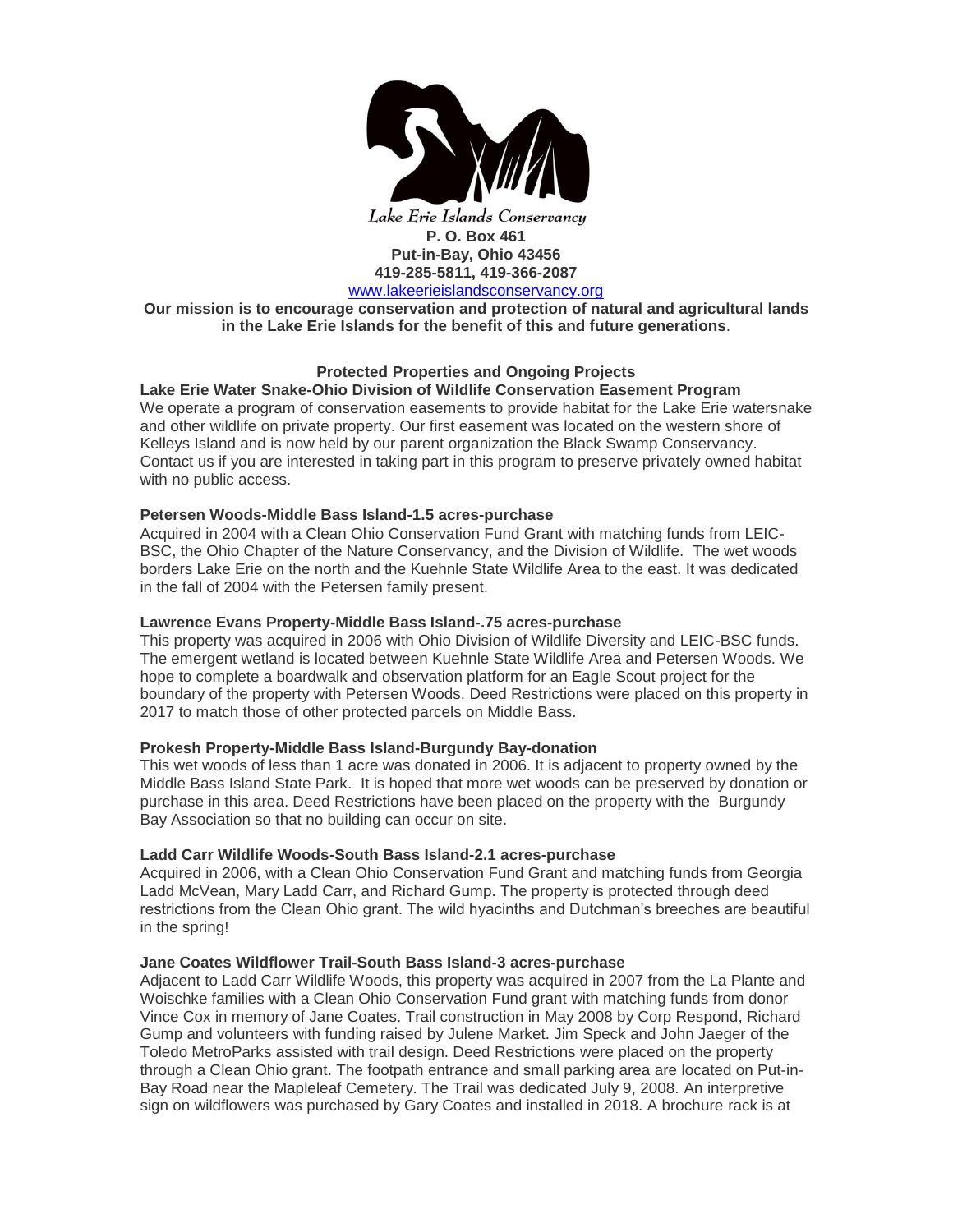

Lake Erie Islands Conservancy **P. O. Box 461 Put-in-Bay, Ohio 43456 419-285-5811, 419-366-2087** [www.lakeerieislandsconservancy.org](http://www.lakeerieislandsconservancy.org/)

**Our mission is to encourage conservation and protection of natural and agricultural lands in the Lake Erie Islands for the benefit of this and future generations**.

# **Protected Properties and Ongoing Projects**

# **Lake Erie Water Snake-Ohio Division of Wildlife Conservation Easement Program**

We operate a program of conservation easements to provide habitat for the Lake Erie watersnake and other wildlife on private property. Our first easement was located on the western shore of Kelleys Island and is now held by our parent organization the Black Swamp Conservancy. Contact us if you are interested in taking part in this program to preserve privately owned habitat with no public access.

## **Petersen Woods-Middle Bass Island-1.5 acres-purchase**

Acquired in 2004 with a Clean Ohio Conservation Fund Grant with matching funds from LEIC-BSC, the Ohio Chapter of the Nature Conservancy, and the Division of Wildlife. The wet woods borders Lake Erie on the north and the Kuehnle State Wildlife Area to the east. It was dedicated in the fall of 2004 with the Petersen family present.

### **Lawrence Evans Property-Middle Bass Island-.75 acres-purchase**

This property was acquired in 2006 with Ohio Division of Wildlife Diversity and LEIC-BSC funds. The emergent wetland is located between Kuehnle State Wildlife Area and Petersen Woods. We hope to complete a boardwalk and observation platform for an Eagle Scout project for the boundary of the property with Petersen Woods. Deed Restrictions were placed on this property in 2017 to match those of other protected parcels on Middle Bass.

## **Prokesh Property-Middle Bass Island-Burgundy Bay-donation**

This wet woods of less than 1 acre was donated in 2006. It is adjacent to property owned by the Middle Bass Island State Park. It is hoped that more wet woods can be preserved by donation or purchase in this area. Deed Restrictions have been placed on the property with the Burgundy Bay Association so that no building can occur on site.

# **Ladd Carr Wildlife Woods-South Bass Island-2.1 acres-purchase**

Acquired in 2006, with a Clean Ohio Conservation Fund Grant and matching funds from Georgia Ladd McVean, Mary Ladd Carr, and Richard Gump. The property is protected through deed restrictions from the Clean Ohio grant. The wild hyacinths and Dutchman's breeches are beautiful in the spring!

## **Jane Coates Wildflower Trail-South Bass Island-3 acres-purchase**

Adjacent to Ladd Carr Wildlife Woods, this property was acquired in 2007 from the La Plante and Woischke families with a Clean Ohio Conservation Fund grant with matching funds from donor Vince Cox in memory of Jane Coates. Trail construction in May 2008 by Corp Respond, Richard Gump and volunteers with funding raised by Julene Market. Jim Speck and John Jaeger of the Toledo MetroParks assisted with trail design. Deed Restrictions were placed on the property through a Clean Ohio grant. The footpath entrance and small parking area are located on Put-in-Bay Road near the Mapleleaf Cemetery. The Trail was dedicated July 9, 2008. An interpretive sign on wildflowers was purchased by Gary Coates and installed in 2018. A brochure rack is at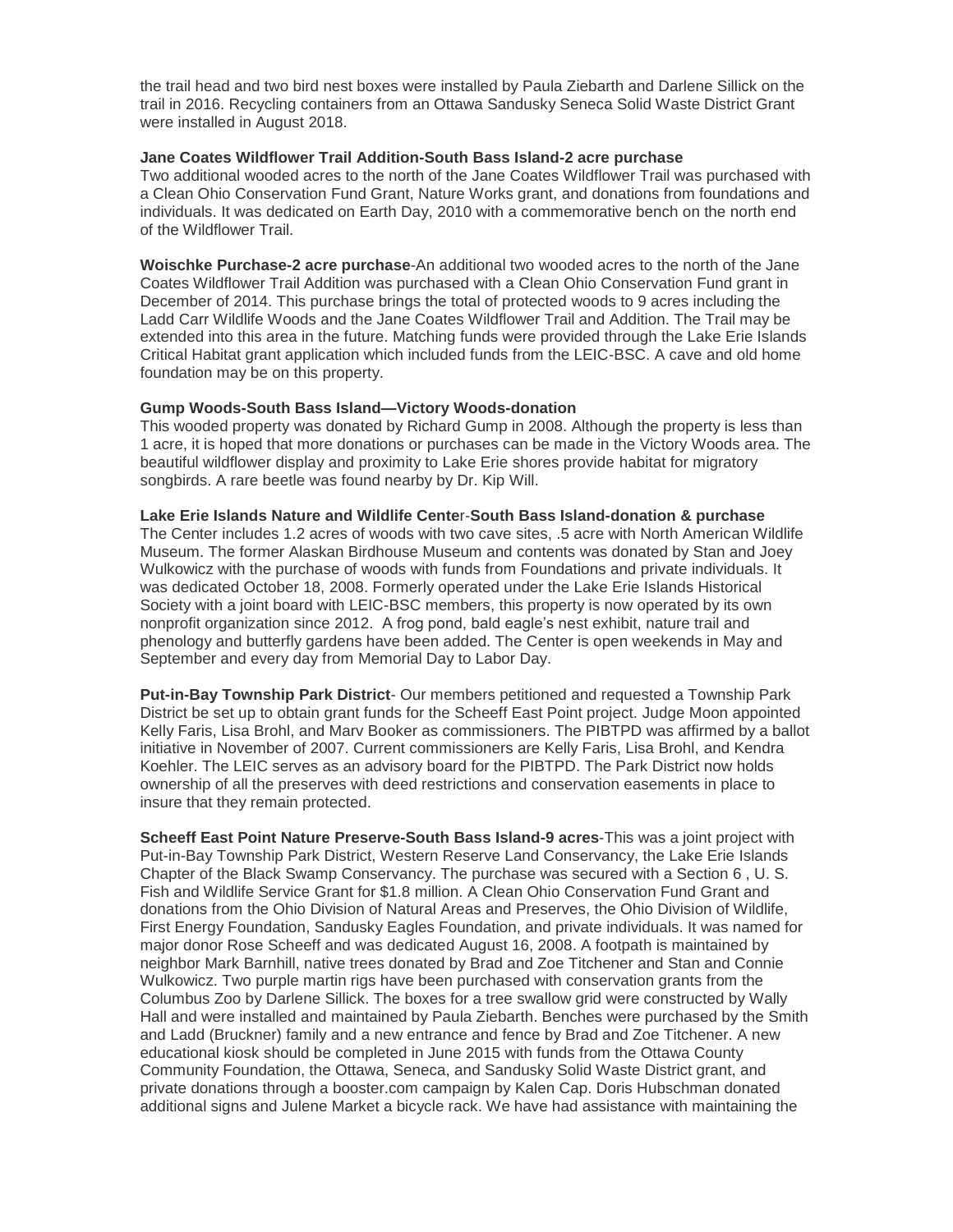the trail head and two bird nest boxes were installed by Paula Ziebarth and Darlene Sillick on the trail in 2016. Recycling containers from an Ottawa Sandusky Seneca Solid Waste District Grant were installed in August 2018.

### **Jane Coates Wildflower Trail Addition-South Bass Island-2 acre purchase**

Two additional wooded acres to the north of the Jane Coates Wildflower Trail was purchased with a Clean Ohio Conservation Fund Grant, Nature Works grant, and donations from foundations and individuals. It was dedicated on Earth Day, 2010 with a commemorative bench on the north end of the Wildflower Trail.

**Woischke Purchase-2 acre purchase**-An additional two wooded acres to the north of the Jane Coates Wildflower Trail Addition was purchased with a Clean Ohio Conservation Fund grant in December of 2014. This purchase brings the total of protected woods to 9 acres including the Ladd Carr Wildlife Woods and the Jane Coates Wildflower Trail and Addition. The Trail may be extended into this area in the future. Matching funds were provided through the Lake Erie Islands Critical Habitat grant application which included funds from the LEIC-BSC. A cave and old home foundation may be on this property.

### **Gump Woods-South Bass Island—Victory Woods-donation**

This wooded property was donated by Richard Gump in 2008. Although the property is less than 1 acre, it is hoped that more donations or purchases can be made in the Victory Woods area. The beautiful wildflower display and proximity to Lake Erie shores provide habitat for migratory songbirds. A rare beetle was found nearby by Dr. Kip Will.

**Lake Erie Islands Nature and Wildlife Cente**r-**South Bass Island-donation & purchase** The Center includes 1.2 acres of woods with two cave sites, .5 acre with North American Wildlife Museum. The former Alaskan Birdhouse Museum and contents was donated by Stan and Joey Wulkowicz with the purchase of woods with funds from Foundations and private individuals. It was dedicated October 18, 2008. Formerly operated under the Lake Erie Islands Historical Society with a joint board with LEIC-BSC members, this property is now operated by its own nonprofit organization since 2012. A frog pond, bald eagle's nest exhibit, nature trail and phenology and butterfly gardens have been added. The Center is open weekends in May and September and every day from Memorial Day to Labor Day.

**Put-in-Bay Township Park District**- Our members petitioned and requested a Township Park District be set up to obtain grant funds for the Scheeff East Point project. Judge Moon appointed Kelly Faris, Lisa Brohl, and Marv Booker as commissioners. The PIBTPD was affirmed by a ballot initiative in November of 2007. Current commissioners are Kelly Faris, Lisa Brohl, and Kendra Koehler. The LEIC serves as an advisory board for the PIBTPD. The Park District now holds ownership of all the preserves with deed restrictions and conservation easements in place to insure that they remain protected.

**Scheeff East Point Nature Preserve-South Bass Island-9 acres**-This was a joint project with Put-in-Bay Township Park District, Western Reserve Land Conservancy, the Lake Erie Islands Chapter of the Black Swamp Conservancy. The purchase was secured with a Section 6 , U. S. Fish and Wildlife Service Grant for \$1.8 million. A Clean Ohio Conservation Fund Grant and donations from the Ohio Division of Natural Areas and Preserves, the Ohio Division of Wildlife, First Energy Foundation, Sandusky Eagles Foundation, and private individuals. It was named for major donor Rose Scheeff and was dedicated August 16, 2008. A footpath is maintained by neighbor Mark Barnhill, native trees donated by Brad and Zoe Titchener and Stan and Connie Wulkowicz. Two purple martin rigs have been purchased with conservation grants from the Columbus Zoo by Darlene Sillick. The boxes for a tree swallow grid were constructed by Wally Hall and were installed and maintained by Paula Ziebarth. Benches were purchased by the Smith and Ladd (Bruckner) family and a new entrance and fence by Brad and Zoe Titchener. A new educational kiosk should be completed in June 2015 with funds from the Ottawa County Community Foundation, the Ottawa, Seneca, and Sandusky Solid Waste District grant, and private donations through a booster.com campaign by Kalen Cap. Doris Hubschman donated additional signs and Julene Market a bicycle rack. We have had assistance with maintaining the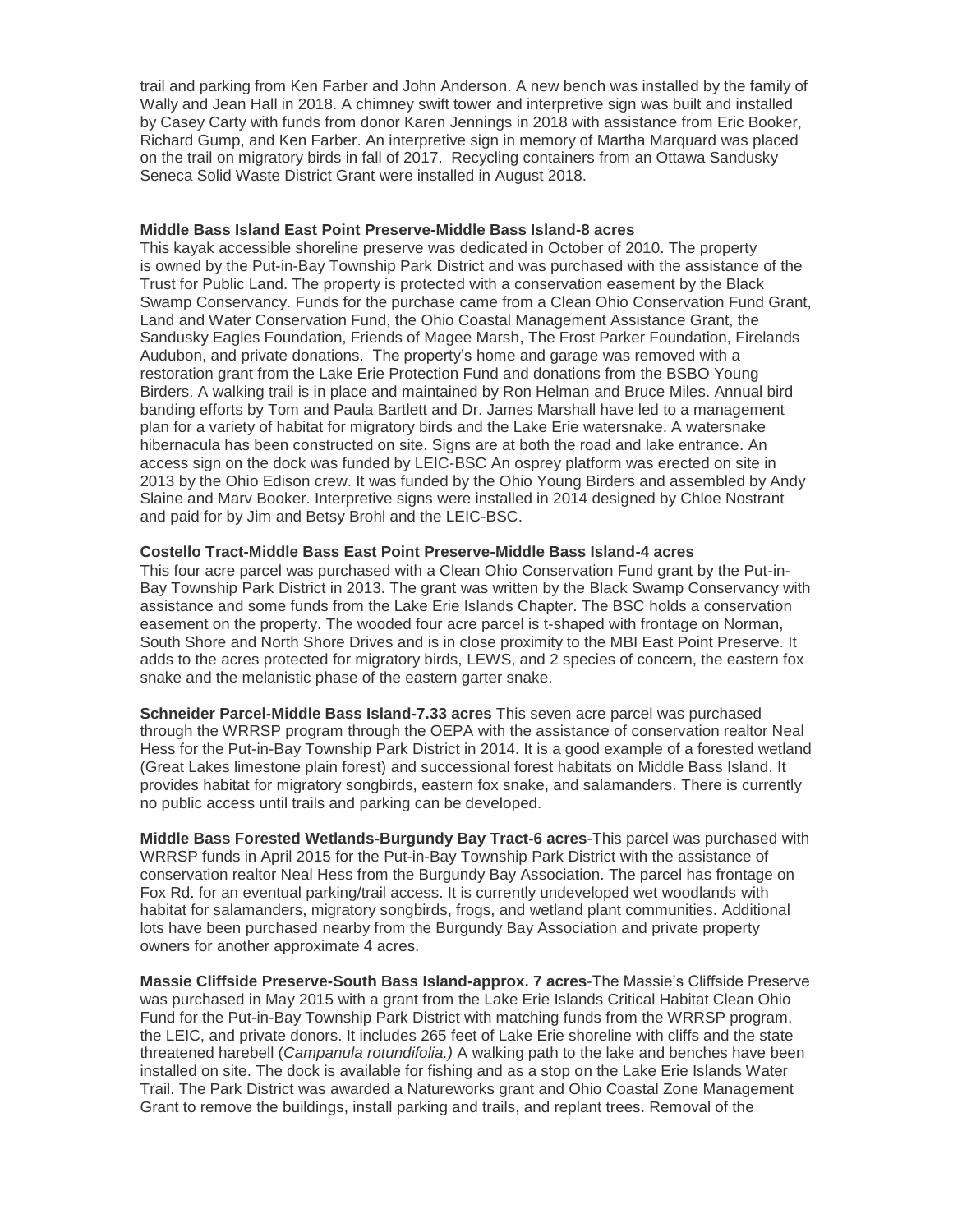trail and parking from Ken Farber and John Anderson. A new bench was installed by the family of Wally and Jean Hall in 2018. A chimney swift tower and interpretive sign was built and installed by Casey Carty with funds from donor Karen Jennings in 2018 with assistance from Eric Booker, Richard Gump, and Ken Farber. An interpretive sign in memory of Martha Marquard was placed on the trail on migratory birds in fall of 2017. Recycling containers from an Ottawa Sandusky Seneca Solid Waste District Grant were installed in August 2018.

#### **Middle Bass Island East Point Preserve-Middle Bass Island-8 acres**

This kayak accessible shoreline preserve was dedicated in October of 2010. The property is owned by the Put-in-Bay Township Park District and was purchased with the assistance of the Trust for Public Land. The property is protected with a conservation easement by the Black Swamp Conservancy. Funds for the purchase came from a Clean Ohio Conservation Fund Grant, Land and Water Conservation Fund, the Ohio Coastal Management Assistance Grant, the Sandusky Eagles Foundation, Friends of Magee Marsh, The Frost Parker Foundation, Firelands Audubon, and private donations. The property's home and garage was removed with a restoration grant from the Lake Erie Protection Fund and donations from the BSBO Young Birders. A walking trail is in place and maintained by Ron Helman and Bruce Miles. Annual bird banding efforts by Tom and Paula Bartlett and Dr. James Marshall have led to a management plan for a variety of habitat for migratory birds and the Lake Erie watersnake. A watersnake hibernacula has been constructed on site. Signs are at both the road and lake entrance. An access sign on the dock was funded by LEIC-BSC An osprey platform was erected on site in 2013 by the Ohio Edison crew. It was funded by the Ohio Young Birders and assembled by Andy Slaine and Marv Booker. Interpretive signs were installed in 2014 designed by Chloe Nostrant and paid for by Jim and Betsy Brohl and the LEIC-BSC.

### **Costello Tract-Middle Bass East Point Preserve-Middle Bass Island-4 acres**

This four acre parcel was purchased with a Clean Ohio Conservation Fund grant by the Put-in-Bay Township Park District in 2013. The grant was written by the Black Swamp Conservancy with assistance and some funds from the Lake Erie Islands Chapter. The BSC holds a conservation easement on the property. The wooded four acre parcel is t-shaped with frontage on Norman, South Shore and North Shore Drives and is in close proximity to the MBI East Point Preserve. It adds to the acres protected for migratory birds, LEWS, and 2 species of concern, the eastern fox snake and the melanistic phase of the eastern garter snake.

**Schneider Parcel-Middle Bass Island-7.33 acres** This seven acre parcel was purchased through the WRRSP program through the OEPA with the assistance of conservation realtor Neal Hess for the Put-in-Bay Township Park District in 2014. It is a good example of a forested wetland (Great Lakes limestone plain forest) and successional forest habitats on Middle Bass Island. It provides habitat for migratory songbirds, eastern fox snake, and salamanders. There is currently no public access until trails and parking can be developed.

**Middle Bass Forested Wetlands-Burgundy Bay Tract-6 acres**-This parcel was purchased with WRRSP funds in April 2015 for the Put-in-Bay Township Park District with the assistance of conservation realtor Neal Hess from the Burgundy Bay Association. The parcel has frontage on Fox Rd. for an eventual parking/trail access. It is currently undeveloped wet woodlands with habitat for salamanders, migratory songbirds, frogs, and wetland plant communities. Additional lots have been purchased nearby from the Burgundy Bay Association and private property owners for another approximate 4 acres.

**Massie Cliffside Preserve-South Bass Island-approx. 7 acres**-The Massie's Cliffside Preserve was purchased in May 2015 with a grant from the Lake Erie Islands Critical Habitat Clean Ohio Fund for the Put-in-Bay Township Park District with matching funds from the WRRSP program, the LEIC, and private donors. It includes 265 feet of Lake Erie shoreline with cliffs and the state threatened harebell (*Campanula rotundifolia.)* A walking path to the lake and benches have been installed on site. The dock is available for fishing and as a stop on the Lake Erie Islands Water Trail. The Park District was awarded a Natureworks grant and Ohio Coastal Zone Management Grant to remove the buildings, install parking and trails, and replant trees. Removal of the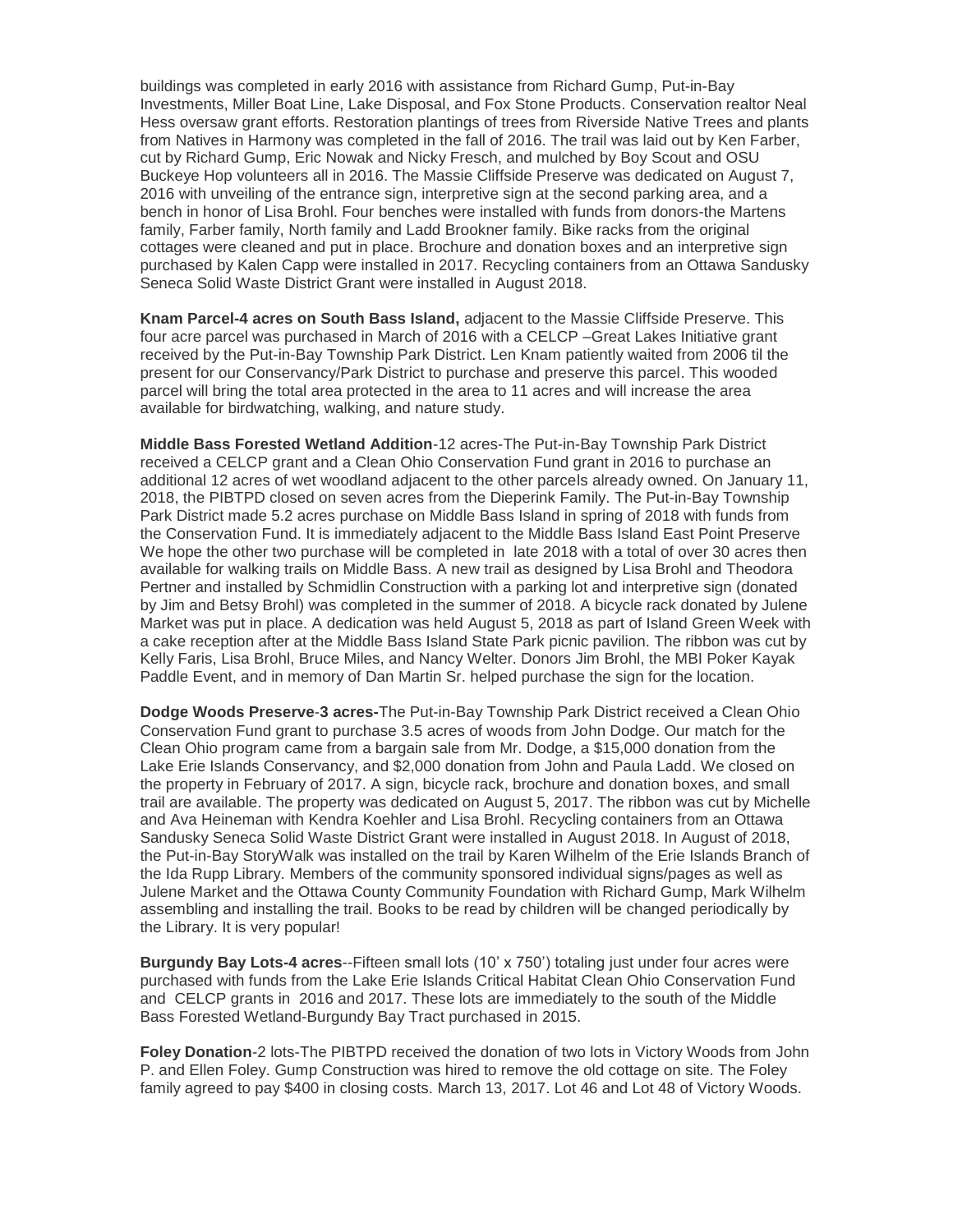buildings was completed in early 2016 with assistance from Richard Gump, Put-in-Bay Investments, Miller Boat Line, Lake Disposal, and Fox Stone Products. Conservation realtor Neal Hess oversaw grant efforts. Restoration plantings of trees from Riverside Native Trees and plants from Natives in Harmony was completed in the fall of 2016. The trail was laid out by Ken Farber, cut by Richard Gump, Eric Nowak and Nicky Fresch, and mulched by Boy Scout and OSU Buckeye Hop volunteers all in 2016. The Massie Cliffside Preserve was dedicated on August 7, 2016 with unveiling of the entrance sign, interpretive sign at the second parking area, and a bench in honor of Lisa Brohl. Four benches were installed with funds from donors-the Martens family, Farber family, North family and Ladd Brookner family. Bike racks from the original cottages were cleaned and put in place. Brochure and donation boxes and an interpretive sign purchased by Kalen Capp were installed in 2017. Recycling containers from an Ottawa Sandusky Seneca Solid Waste District Grant were installed in August 2018.

**Knam Parcel-4 acres on South Bass Island,** adjacent to the Massie Cliffside Preserve. This four acre parcel was purchased in March of 2016 with a CELCP –Great Lakes Initiative grant received by the Put-in-Bay Township Park District. Len Knam patiently waited from 2006 til the present for our Conservancy/Park District to purchase and preserve this parcel. This wooded parcel will bring the total area protected in the area to 11 acres and will increase the area available for birdwatching, walking, and nature study.

**Middle Bass Forested Wetland Addition**-12 acres-The Put-in-Bay Township Park District received a CELCP grant and a Clean Ohio Conservation Fund grant in 2016 to purchase an additional 12 acres of wet woodland adjacent to the other parcels already owned. On January 11, 2018, the PIBTPD closed on seven acres from the Dieperink Family. The Put-in-Bay Township Park District made 5.2 acres purchase on Middle Bass Island in spring of 2018 with funds from the Conservation Fund. It is immediately adjacent to the Middle Bass Island East Point Preserve We hope the other two purchase will be completed in late 2018 with a total of over 30 acres then available for walking trails on Middle Bass. A new trail as designed by Lisa Brohl and Theodora Pertner and installed by Schmidlin Construction with a parking lot and interpretive sign (donated by Jim and Betsy Brohl) was completed in the summer of 2018. A bicycle rack donated by Julene Market was put in place. A dedication was held August 5, 2018 as part of Island Green Week with a cake reception after at the Middle Bass Island State Park picnic pavilion. The ribbon was cut by Kelly Faris, Lisa Brohl, Bruce Miles, and Nancy Welter. Donors Jim Brohl, the MBI Poker Kayak Paddle Event, and in memory of Dan Martin Sr. helped purchase the sign for the location.

**Dodge Woods Preserve**-**3 acres-**The Put-in-Bay Township Park District received a Clean Ohio Conservation Fund grant to purchase 3.5 acres of woods from John Dodge. Our match for the Clean Ohio program came from a bargain sale from Mr. Dodge, a \$15,000 donation from the Lake Erie Islands Conservancy, and \$2,000 donation from John and Paula Ladd. We closed on the property in February of 2017. A sign, bicycle rack, brochure and donation boxes, and small trail are available. The property was dedicated on August 5, 2017. The ribbon was cut by Michelle and Ava Heineman with Kendra Koehler and Lisa Brohl. Recycling containers from an Ottawa Sandusky Seneca Solid Waste District Grant were installed in August 2018. In August of 2018, the Put-in-Bay StoryWalk was installed on the trail by Karen Wilhelm of the Erie Islands Branch of the Ida Rupp Library. Members of the community sponsored individual signs/pages as well as Julene Market and the Ottawa County Community Foundation with Richard Gump, Mark Wilhelm assembling and installing the trail. Books to be read by children will be changed periodically by the Library. It is very popular!

**Burgundy Bay Lots-4 acres**--Fifteen small lots (10' x 750') totaling just under four acres were purchased with funds from the Lake Erie Islands Critical Habitat Clean Ohio Conservation Fund and CELCP grants in 2016 and 2017. These lots are immediately to the south of the Middle Bass Forested Wetland-Burgundy Bay Tract purchased in 2015.

**Foley Donation**-2 lots-The PIBTPD received the donation of two lots in Victory Woods from John P. and Ellen Foley. Gump Construction was hired to remove the old cottage on site. The Foley family agreed to pay \$400 in closing costs. March 13, 2017. Lot 46 and Lot 48 of Victory Woods.